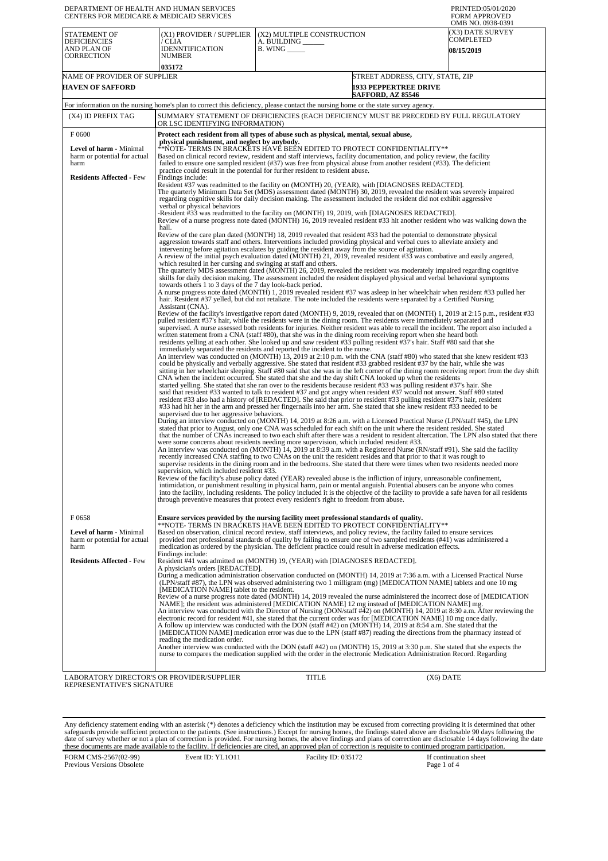| DEPARTMENT OF HEALTH AND HUMAN SERVICES<br>PRINTED:05/01/2020<br>CENTERS FOR MEDICARE & MEDICAID SERVICES<br>FORM APPROVED |                                                                               |                                                                                                                                                                                                                                                                                                                                                                                                                                                                                                                                                                                                                                                                                                                                                                                                                                                                                                                                                                                                                                                                                                                                                                                                                                                                                                                                                                                                                                                                                                                                                                                                                                                                                                                                                                   |                                                          | OMB NO. 0938-0391                                         |
|----------------------------------------------------------------------------------------------------------------------------|-------------------------------------------------------------------------------|-------------------------------------------------------------------------------------------------------------------------------------------------------------------------------------------------------------------------------------------------------------------------------------------------------------------------------------------------------------------------------------------------------------------------------------------------------------------------------------------------------------------------------------------------------------------------------------------------------------------------------------------------------------------------------------------------------------------------------------------------------------------------------------------------------------------------------------------------------------------------------------------------------------------------------------------------------------------------------------------------------------------------------------------------------------------------------------------------------------------------------------------------------------------------------------------------------------------------------------------------------------------------------------------------------------------------------------------------------------------------------------------------------------------------------------------------------------------------------------------------------------------------------------------------------------------------------------------------------------------------------------------------------------------------------------------------------------------------------------------------------------------|----------------------------------------------------------|-----------------------------------------------------------|
| <b>STATEMENT OF</b><br><b>DEFICIENCIES</b><br>AND PLAN OF<br><b>CORRECTION</b>                                             | (X1) PROVIDER / SUPPLIER<br>/ CLIA<br><b>IDENNTIFICATION</b><br><b>NUMBER</b> | (X2) MULTIPLE CONSTRUCTION<br>A. BUILDING ______<br>$B.$ WING $\_\_\_\_\_\_\$                                                                                                                                                                                                                                                                                                                                                                                                                                                                                                                                                                                                                                                                                                                                                                                                                                                                                                                                                                                                                                                                                                                                                                                                                                                                                                                                                                                                                                                                                                                                                                                                                                                                                     |                                                          | (X3) DATE SURVEY<br><b>COMPLETED</b><br><b>08/15/2019</b> |
| NAME OF PROVIDER OF SUPPLIER                                                                                               | 035172                                                                        |                                                                                                                                                                                                                                                                                                                                                                                                                                                                                                                                                                                                                                                                                                                                                                                                                                                                                                                                                                                                                                                                                                                                                                                                                                                                                                                                                                                                                                                                                                                                                                                                                                                                                                                                                                   | STREET ADDRESS, CITY, STATE, ZIP                         |                                                           |
| HAVEN OF SAFFORD                                                                                                           |                                                                               |                                                                                                                                                                                                                                                                                                                                                                                                                                                                                                                                                                                                                                                                                                                                                                                                                                                                                                                                                                                                                                                                                                                                                                                                                                                                                                                                                                                                                                                                                                                                                                                                                                                                                                                                                                   | <b>1933 PEPPERTREE DRIVE</b><br><b>SAFFORD, AZ 85546</b> |                                                           |
|                                                                                                                            |                                                                               | For information on the nursing home's plan to correct this deficiency, please contact the nursing home or the state survey agency.                                                                                                                                                                                                                                                                                                                                                                                                                                                                                                                                                                                                                                                                                                                                                                                                                                                                                                                                                                                                                                                                                                                                                                                                                                                                                                                                                                                                                                                                                                                                                                                                                                |                                                          |                                                           |
| (X4) ID PREFIX TAG                                                                                                         | OR LSC IDENTIFYING INFORMATION)                                               | SUMMARY STATEMENT OF DEFICIENCIES (EACH DEFICIENCY MUST BE PRECEDED BY FULL REGULATORY                                                                                                                                                                                                                                                                                                                                                                                                                                                                                                                                                                                                                                                                                                                                                                                                                                                                                                                                                                                                                                                                                                                                                                                                                                                                                                                                                                                                                                                                                                                                                                                                                                                                            |                                                          |                                                           |
| F0600                                                                                                                      | physical punishment, and neglect by anybody.                                  | Protect each resident from all types of abuse such as physical, mental, sexual abuse,                                                                                                                                                                                                                                                                                                                                                                                                                                                                                                                                                                                                                                                                                                                                                                                                                                                                                                                                                                                                                                                                                                                                                                                                                                                                                                                                                                                                                                                                                                                                                                                                                                                                             |                                                          |                                                           |
| Level of harm - Minimal<br>harm or potential for actual<br>harm<br><b>Residents Affected - Few</b>                         |                                                                               | **NOTE- TERMS IN BRACKETS HAVE BEEN EDITED TO PROTECT CONFIDENTIALITY**<br>Based on clinical record review, resident and staff interviews, facility documentation, and policy review, the facility<br>failed to ensure one sampled resident (#37) was free from physical abuse from another resident (#33). The deficient<br>practice could result in the potential for further resident to resident abuse.                                                                                                                                                                                                                                                                                                                                                                                                                                                                                                                                                                                                                                                                                                                                                                                                                                                                                                                                                                                                                                                                                                                                                                                                                                                                                                                                                       |                                                          |                                                           |
|                                                                                                                            | Findings include:<br>verbal or physical behaviors                             | Resident #37 was readmitted to the facility on (MONTH) 20, (YEAR), with [DIAGNOSES REDACTED].<br>The quarterly Minimum Data Set (MDS) assessment dated (MONTH) 30, 2019, revealed the resident was severely impaired<br>regarding cognitive skills for daily decision making. The assessment included the resident did not exhibit aggressive<br>-Resident #33 was readmitted to the facility on (MONTH) 19, 2019, with [DIAGNOSES REDACTED].<br>Review of a nurse progress note dated (MONTH) 16, 2019 revealed resident #33 hit another resident who was walking down the                                                                                                                                                                                                                                                                                                                                                                                                                                                                                                                                                                                                                                                                                                                                                                                                                                                                                                                                                                                                                                                                                                                                                                                       |                                                          |                                                           |
|                                                                                                                            | hall.<br>which resulted in her cursing and swinging at staff and others.      | Review of the care plan dated (MONTH) 18, 2019 revealed that resident #33 had the potential to demonstrate physical<br>aggression towards staff and others. Interventions included providing physical and verbal cues to alleviate anxiety and<br>intervening before agitation escalates by guiding the resident away from the source of agitation.<br>A review of the initial psych evaluation dated (MONTH) 21, 2019, revealed resident #33 was combative and easily angered,<br>The quarterly MDS assessment dated (MONTH) 26, 2019, revealed the resident was moderately impaired regarding cognitive<br>skills for daily decision making. The assessment included the resident displayed physical and verbal behavioral symptoms                                                                                                                                                                                                                                                                                                                                                                                                                                                                                                                                                                                                                                                                                                                                                                                                                                                                                                                                                                                                                             |                                                          |                                                           |
|                                                                                                                            | towards others 1 to 3 days of the 7 day look-back period.<br>Assistant (CNA). | A nurse progress note dated (MONTH) 1, 2019 revealed resident #37 was asleep in her wheelchair when resident #33 pulled her<br>hair. Resident #37 yelled, but did not retaliate. The note included the residents were separated by a Certified Nursing                                                                                                                                                                                                                                                                                                                                                                                                                                                                                                                                                                                                                                                                                                                                                                                                                                                                                                                                                                                                                                                                                                                                                                                                                                                                                                                                                                                                                                                                                                            |                                                          |                                                           |
|                                                                                                                            | supervised due to her aggressive behaviors.                                   | Review of the facility's investigative report dated (MONTH) 9, 2019, revealed that on (MONTH) 1, 2019 at 2:15 p.m., resident #33<br>pulled resident #37's hair, while the residents were in the dining room. The residents were immediately separated and<br>supervised. A nurse assessed both residents for injuries. Neither resident was able to recall the incident. The report also included a<br>written statement from a CNA (staff #80), that she was in the dining room receiving report when she heard both<br>residents yelling at each other. She looked up and saw resident #33 pulling resident #37's hair. Staff #80 said that she<br>immediately separated the residents and reported the incident to the nurse.<br>An interview was conducted on (MONTH) 13, 2019 at 2:10 p.m. with the CNA (staff #80) who stated that she knew resident #33<br>could be physically and verbally aggressive. She stated that resident #33 grabbed resident #37 by the hair, while she was<br>sitting in her wheelchair sleeping. Staff #80 said that she was in the left corner of the dining room receiving report from the day shift<br>CNA when the incident occurred. She stated that she and the day shift CNA looked up when the residents<br>started yelling. She stated that she ran over to the residents because resident #33 was pulling resident #37's hair. She<br>said that resident #33 wanted to talk to resident #37 and got angry when resident #37 would not answer. Staff #80 stated<br>resident #33 also had a history of [REDACTED]. She said that prior to resident #33 pulling resident #37's hair, resident<br>#33 had hit her in the arm and pressed her fingernails into her arm. She stated that she knew resident #33 needed to be |                                                          |                                                           |
|                                                                                                                            | supervision, which included resident #33.                                     | During an interview conducted on (MONTH) 14, 2019 at 8:26 a.m. with a Licensed Practical Nurse (LPN/staff #45), the LPN<br>stated that prior to August, only one CNA was scheduled for each shift on the unit where the resident resided. She stated<br>that the number of CNAs increased to two each shift after there was a resident to resident altercation. The LPN also stated that there<br>were some concerns about residents needing more supervision, which included resident #33.<br>An interview was conducted on (MONTH) 14, 2019 at 8:39 a.m. with a Registered Nurse (RN/staff #91). She said the facility<br>recently increased CNA staffing to two CNAs on the unit the resident resides and that prior to that it was rough to<br>supervise residents in the dining room and in the bedrooms. She stated that there were times when two residents needed more<br>Review of the facility's abuse policy dated (YEAR) revealed abuse is the infliction of injury, unreasonable confinement,<br>intimidation, or punishment resulting in physical harm, pain or mental anguish. Potential abusers can be anyone who comes<br>into the facility, including residents. The policy included it is the objective of the facility to provide a safe haven for all residents<br>through preventive measures that protect every resident's right to freedom from abuse.                                                                                                                                                                                                                                                                                                                                                                                    |                                                          |                                                           |
| F0658                                                                                                                      |                                                                               | Ensure services provided by the nursing facility meet professional standards of quality.<br>**NOTE- TERMS IN BRACKETS HAVE BEEN EDITED TO PROTECT CONFIDENTIALITY**                                                                                                                                                                                                                                                                                                                                                                                                                                                                                                                                                                                                                                                                                                                                                                                                                                                                                                                                                                                                                                                                                                                                                                                                                                                                                                                                                                                                                                                                                                                                                                                               |                                                          |                                                           |
| Level of harm - Minimal<br>harm or potential for actual<br>harm                                                            | Findings include:                                                             | Based on observation, clinical record review, staff interviews, and policy review, the facility failed to ensure services<br>provided met professional standards of quality by failing to ensure one of two sampled residents (#41) was administered a<br>medication as ordered by the physician. The deficient practice could result in adverse medication effects.                                                                                                                                                                                                                                                                                                                                                                                                                                                                                                                                                                                                                                                                                                                                                                                                                                                                                                                                                                                                                                                                                                                                                                                                                                                                                                                                                                                              |                                                          |                                                           |
| <b>Residents Affected - Few</b>                                                                                            | A physician's orders [REDACTED].                                              | Resident #41 was admitted on (MONTH) 19, (YEAR) with [DIAGNOSES REDACTED].                                                                                                                                                                                                                                                                                                                                                                                                                                                                                                                                                                                                                                                                                                                                                                                                                                                                                                                                                                                                                                                                                                                                                                                                                                                                                                                                                                                                                                                                                                                                                                                                                                                                                        |                                                          |                                                           |
|                                                                                                                            | [MEDICATION NAME] tablet to the resident.<br>reading the medication order.    | During a medication administration observation conducted on (MONTH) 14, 2019 at 7:36 a.m. with a Licensed Practical Nurse<br>(LPN/staff #87), the LPN was observed administering two 1 milligram (mg) [MEDICATION NAME] tablets and one 10 mg<br>Review of a nurse progress note dated (MONTH) 14, 2019 revealed the nurse administered the incorrect dose of [MEDICATION<br>NAME]; the resident was administered [MEDICATION NAME] 12 mg instead of [MEDICATION NAME] mg.<br>An interview was conducted with the Director of Nursing (DON/staff #42) on (MONTH) 14, 2019 at 8:30 a.m. After reviewing the<br>electronic record for resident #41, she stated that the current order was for [MEDICATION NAME] 10 mg once daily.<br>A follow up interview was conducted with the DON (staff #42) on (MONTH) 14, 2019 at 8:54 a.m. She stated that the<br>[MEDICATION NAME] medication error was due to the LPN (staff #87) reading the directions from the pharmacy instead of<br>Another interview was conducted with the DON (staff #42) on (MONTH) 15, 2019 at 3:30 p.m. She stated that she expects the<br>nurse to compares the medication supplied with the order in the electronic Medication Administration Record. Regarding                                                                                                                                                                                                                                                                                                                                                                                                                                                                                                                              |                                                          |                                                           |
| LABORATORY DIRECTOR'S OR PROVIDER/SUPPLIER                                                                                 |                                                                               | TITLE                                                                                                                                                                                                                                                                                                                                                                                                                                                                                                                                                                                                                                                                                                                                                                                                                                                                                                                                                                                                                                                                                                                                                                                                                                                                                                                                                                                                                                                                                                                                                                                                                                                                                                                                                             | $(X6)$ DATE                                              |                                                           |
| REPRESENTATIVE'S SIGNATURE                                                                                                 |                                                                               |                                                                                                                                                                                                                                                                                                                                                                                                                                                                                                                                                                                                                                                                                                                                                                                                                                                                                                                                                                                                                                                                                                                                                                                                                                                                                                                                                                                                                                                                                                                                                                                                                                                                                                                                                                   |                                                          |                                                           |

Any deficiency statement ending with an asterisk (\*) denotes a deficiency which the institution may be excused from correcting providing it is determined that other safeguards provide sufficient protection to the patients.

FORM CMS-2567(02-99) Previous Versions Obsolete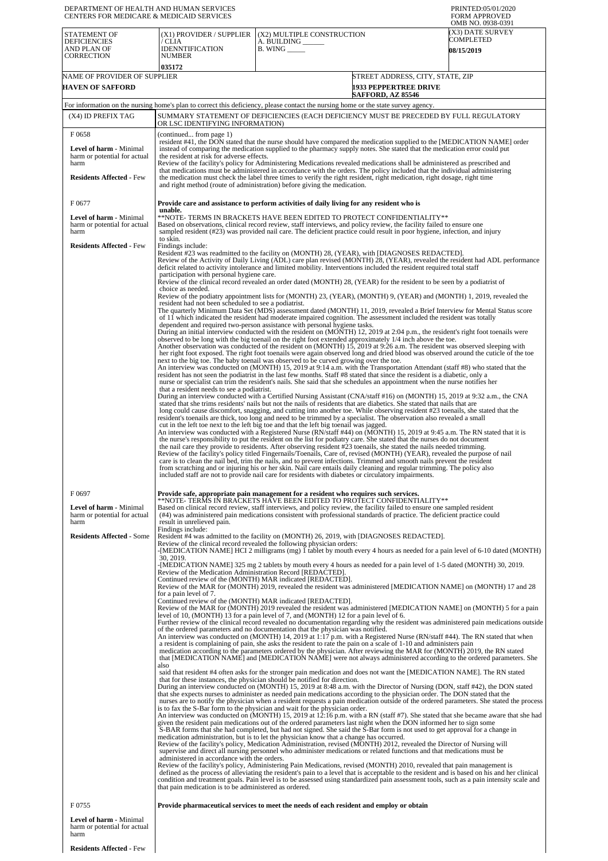| DEPARTMENT OF HEALTH AND HUMAN SERVICES<br><b>CENTERS FOR MEDICARE &amp; MEDICAID SERVICES</b> |                                                                                                       |                                                                                                                                                                                                                                                                                                                                                                                                                                                                                                                                                                                                                                                                                                                                                                                                                                                                              | PRINTED:05/01/2020<br><b>FORM APPROVED</b><br>OMB NO. 0938-0391 |
|------------------------------------------------------------------------------------------------|-------------------------------------------------------------------------------------------------------|------------------------------------------------------------------------------------------------------------------------------------------------------------------------------------------------------------------------------------------------------------------------------------------------------------------------------------------------------------------------------------------------------------------------------------------------------------------------------------------------------------------------------------------------------------------------------------------------------------------------------------------------------------------------------------------------------------------------------------------------------------------------------------------------------------------------------------------------------------------------------|-----------------------------------------------------------------|
| STATEMENT OF<br><b>DEFICIENCIES</b><br>AND PLAN OF<br><b>CORRECTION</b>                        | (X1) PROVIDER / SUPPLIER<br>/ CLIA<br><b>IDENNTIFICATION</b><br><b>NUMBER</b><br>035172               | (X2) MULTIPLE CONSTRUCTION<br>A. BUILDING ______<br>$B.$ WING $\_\_\_\_\_\_\$                                                                                                                                                                                                                                                                                                                                                                                                                                                                                                                                                                                                                                                                                                                                                                                                | (X3) DATE SURVEY<br><b>COMPLETED</b><br><b>08/15/2019</b>       |
| NAME OF PROVIDER OF SUPPLIER                                                                   |                                                                                                       | STREET ADDRESS, CITY, STATE, ZIP                                                                                                                                                                                                                                                                                                                                                                                                                                                                                                                                                                                                                                                                                                                                                                                                                                             |                                                                 |
| <b>HAVEN OF SAFFORD</b>                                                                        |                                                                                                       | 1933 PEPPERTREE DRIVE<br>SAFFORD, AZ 85546                                                                                                                                                                                                                                                                                                                                                                                                                                                                                                                                                                                                                                                                                                                                                                                                                                   |                                                                 |
|                                                                                                |                                                                                                       | For information on the nursing home's plan to correct this deficiency, please contact the nursing home or the state survey agency.                                                                                                                                                                                                                                                                                                                                                                                                                                                                                                                                                                                                                                                                                                                                           |                                                                 |
| (X4) ID PREFIX TAG                                                                             | OR LSC IDENTIFYING INFORMATION)                                                                       | SUMMARY STATEMENT OF DEFICIENCIES (EACH DEFICIENCY MUST BE PRECEDED BY FULL REGULATORY                                                                                                                                                                                                                                                                                                                                                                                                                                                                                                                                                                                                                                                                                                                                                                                       |                                                                 |
| F0658                                                                                          | (continued from page 1)                                                                               |                                                                                                                                                                                                                                                                                                                                                                                                                                                                                                                                                                                                                                                                                                                                                                                                                                                                              |                                                                 |
| Level of harm - Minimal<br>harm or potential for actual<br>harm                                | the resident at risk for adverse effects.                                                             | resident #41, the DON stated that the nurse should have compared the medication supplied to the [MEDICATION NAME] order<br>instead of comparing the medication supplied to the pharmacy supply notes. She stated that the medication error could put<br>Review of the facility's policy for Administering Medications revealed medications shall be administered as prescribed and                                                                                                                                                                                                                                                                                                                                                                                                                                                                                           |                                                                 |
| <b>Residents Affected - Few</b>                                                                |                                                                                                       | that medications must be administered in accordance with the orders. The policy included that the individual administering<br>the medication must check the label three times to verify the right resident, right medication, right dosage, right time<br>and right method (route of administration) before giving the medication.                                                                                                                                                                                                                                                                                                                                                                                                                                                                                                                                           |                                                                 |
| F0677                                                                                          |                                                                                                       | Provide care and assistance to perform activities of daily living for any resident who is                                                                                                                                                                                                                                                                                                                                                                                                                                                                                                                                                                                                                                                                                                                                                                                    |                                                                 |
| Level of harm - Minimal<br>harm or potential for actual<br>harm                                | unable.                                                                                               | **NOTE- TERMS IN BRACKETS HAVE BEEN EDITED TO PROTECT CONFIDENTIALITY**<br>Based on observations, clinical record review, staff interviews, and policy review, the facility failed to ensure one<br>sampled resident $(\#23)$ was provided nail care. The deficient practice could result in poor hygiene, infection, and injury                                                                                                                                                                                                                                                                                                                                                                                                                                                                                                                                             |                                                                 |
| <b>Residents Affected - Few</b>                                                                | to skin.<br>Findings include:                                                                         | Resident #23 was readmitted to the facility on (MONTH) 28, (YEAR), with [DIAGNOSES REDACTED].<br>Review of the Activity of Daily Living (ADL) care plan revised (MONTH) 28, (YEAR), revealed the resident had ADL performance                                                                                                                                                                                                                                                                                                                                                                                                                                                                                                                                                                                                                                                |                                                                 |
|                                                                                                | participation with personal hygiene care.<br>choice as needed.                                        | deficit related to activity intolerance and limited mobility. Interventions included the resident required total staff<br>Review of the clinical record revealed an order dated (MONTH) 28, (YEAR) for the resident to be seen by a podiatrist of                                                                                                                                                                                                                                                                                                                                                                                                                                                                                                                                                                                                                            |                                                                 |
|                                                                                                | resident had not been scheduled to see a podiatrist.                                                  | Review of the podiatry appointment lists for (MONTH) 23, (YEAR), (MONTH) 9, (YEAR) and (MONTH) 1, 2019, revealed the                                                                                                                                                                                                                                                                                                                                                                                                                                                                                                                                                                                                                                                                                                                                                         |                                                                 |
|                                                                                                |                                                                                                       | The quarterly Minimum Data Set (MDS) assessment dated (MONTH) 11, 2019, revealed a Brief Interview for Mental Status score<br>of 11 which indicated the resident had moderate impaired cognition. The assessment included the resident was totally<br>dependent and required two-person assistance with personal hygiene tasks.                                                                                                                                                                                                                                                                                                                                                                                                                                                                                                                                              |                                                                 |
|                                                                                                |                                                                                                       | During an initial interview conducted with the resident on (MONTH) 12, 2019 at 2:04 p.m., the resident's right foot toenails were<br>observed to be long with the big toenail on the right foot extended approximately 1/4 inch above the toe.<br>Another observation was conducted of the resident on (MONTH) 15, 2019 at 9:26 a.m. The resident was observed sleeping with<br>her right foot exposed. The right foot toenails were again observed long and dried blood was observed around the cuticle of the toe<br>next to the big toe. The baby toenail was observed to be curved growing over the toe.                                                                                                                                                                                                                                                                 |                                                                 |
|                                                                                                | that a resident needs to see a podiatrist.                                                            | An interview was conducted on (MONTH) 15, 2019 at 9:14 a.m. with the Transportation Attendant (staff #8) who stated that the<br>resident has not seen the podiatrist in the last few months. Staff #8 stated that since the resident is a diabetic, only a<br>nurse or specialist can trim the resident's nails. She said that she schedules an appointment when the nurse notifies her                                                                                                                                                                                                                                                                                                                                                                                                                                                                                      |                                                                 |
|                                                                                                |                                                                                                       | During an interview conducted with a Certified Nursing Assistant (CNA/staff #16) on (MONTH) 15, 2019 at 9:32 a.m., the CNA<br>stated that she trims residents' nails but not the nails of residents that are diabetics. She stated that nails that are<br>long could cause discomfort, snagging, and cutting into another toe. While observing resident #23 toenails, she stated that the<br>resident's toenails are thick, too long and need to be trimmed by a specialist. The observation also revealed a small<br>cut in the left toe next to the left big toe and that the left big toenail was jagged.                                                                                                                                                                                                                                                                 |                                                                 |
|                                                                                                |                                                                                                       | An interview was conducted with a Registered Nurse (RN/staff #44) on (MONTH) 15, 2019 at 9:45 a.m. The RN stated that it is<br>the nurse's responsibility to put the resident on the list for podiatry care. She stated that the nurses do not document<br>the nail care they provide to residents. After observing resident #23 to enails, she stated the nails needed trimming.<br>Review of the facility's policy titled Fingernails/Toenails, Care of, revised (MONTH) (YEAR), revealed the purpose of nail<br>care is to clean the nail bed, trim the nails, and to prevent infections. Trimmed and smooth nails prevent the resident<br>from scratching and or injuring his or her skin. Nail care entails daily cleaning and regular trimming. The policy also<br>included staff are not to provide nail care for residents with diabetes or circulatory impairments. |                                                                 |
| F0697                                                                                          |                                                                                                       | Provide safe, appropriate pain management for a resident who requires such services.                                                                                                                                                                                                                                                                                                                                                                                                                                                                                                                                                                                                                                                                                                                                                                                         |                                                                 |
| <b>Level of harm - Minimal</b><br>harm or potential for actual<br>harm                         | result in unrelieved pain.                                                                            | **NOTE- TERMS IN BRACKETS HAVE BEEN EDITED TO PROTECT CONFIDENTIALITY**<br>Based on clinical record review, staff interviews, and policy review, the facility failed to ensure one sampled resident<br>(#4) was administered pain medications consistent with professional standards of practice. The deficient practice could                                                                                                                                                                                                                                                                                                                                                                                                                                                                                                                                               |                                                                 |
| <b>Residents Affected - Some</b>                                                               | Findings include:                                                                                     | Resident #4 was admitted to the facility on (MONTH) 26, 2019, with [DIAGNOSES REDACTED].<br>Review of the clinical record revealed the following physician orders:<br>-[MEDICATION NAME] HCI 2 milligrams (mg) 1 tablet by mouth every 4 hours as needed for a pain level of 6-10 dated (MONTH)                                                                                                                                                                                                                                                                                                                                                                                                                                                                                                                                                                              |                                                                 |
|                                                                                                | 30, 2019.<br>Review of the Medication Administration Record [REDACTED].                               | -[MEDICATION NAME] 325 mg 2 tablets by mouth every 4 hours as needed for a pain level of 1-5 dated (MONTH) 30, 2019.                                                                                                                                                                                                                                                                                                                                                                                                                                                                                                                                                                                                                                                                                                                                                         |                                                                 |
|                                                                                                | for a pain level of 7.                                                                                | Continued review of the (MONTH) MAR indicated [REDACTED].<br>Review of the MAR for (MONTH) 2019, revealed the resident was administered [MEDICATION NAME] on (MONTH) 17 and 28<br>Continued review of the (MONTH) MAR indicated [REDACTED].                                                                                                                                                                                                                                                                                                                                                                                                                                                                                                                                                                                                                                  |                                                                 |
|                                                                                                |                                                                                                       | Review of the MAR for (MONTH) 2019 revealed the resident was administered [MEDICATION NAME] on (MONTH) 5 for a pain<br>level of 10, (MONTH) 13 for a pain level of 7, and (MONTH) 12 for a pain level of 6.<br>Further review of the clinical record revealed no documentation regarding why the resident was administered pain medications outside                                                                                                                                                                                                                                                                                                                                                                                                                                                                                                                          |                                                                 |
|                                                                                                |                                                                                                       | of the ordered parameters and no documentation that the physician was notified.<br>An interview was conducted on (MONTH) 14, 2019 at 1:17 p.m. with a Registered Nurse (RN/staff #44). The RN stated that when<br>a resident is complaining of pain, she asks the resident to rate the pain on a scale of 1-10 and administers pain<br>medication according to the parameters ordered by the physician. After reviewing the MAR for (MONTH) 2019, the RN stated                                                                                                                                                                                                                                                                                                                                                                                                              |                                                                 |
|                                                                                                | also                                                                                                  | that [MEDICATION NAME] and [MEDICATION NAME] were not always administered according to the ordered parameters. She<br>said that resident #4 often asks for the stronger pain medication and does not want the [MEDICATION NAME]. The RN stated                                                                                                                                                                                                                                                                                                                                                                                                                                                                                                                                                                                                                               |                                                                 |
|                                                                                                |                                                                                                       | that for these instances, the physician should be notified for direction.<br>During an interview conducted on (MONTH) 15, 2019 at 8:48 a.m. with the Director of Nursing (DON, staff #42), the DON stated<br>that she expects nurses to administer as needed pain medications according to the physician order. The DON stated that the<br>nurses are to notify the physician when a resident requests a pain medication outside of the ordered parameters. She stated the process<br>is to fax the S-Bar form to the physician and wait for the physician order.                                                                                                                                                                                                                                                                                                            |                                                                 |
|                                                                                                |                                                                                                       | An interview was conducted on (MONTH) 15, 2019 at 12:16 p.m. with a RN (staff #7). She stated that she became aware that she had<br>given the resident pain medications out of the ordered parameters last night when the DON informed her to sign some<br>S-BAR forms that she had completed, but had not signed. She said the S-Bar form is not used to get approval for a change in<br>medication administration, but is to let the physician know that a change has occurred.<br>Review of the facility's policy, Medication Administration, revised (MONTH) 2012, revealed the Director of Nursing will<br>supervise and direct all nursing personnel who administer medications or related functions and that medications must be                                                                                                                                      |                                                                 |
|                                                                                                | administered in accordance with the orders.<br>that pain medication is to be administered as ordered. | Review of the facility's policy, Administering Pain Medications, revised (MONTH) 2010, revealed that pain management is<br>defined as the process of alleviating the resident's pain to a level that is acceptable to the resident and is based on his and her clinical<br>condition and treatment goals. Pain level is to be assessed using standardized pain assessment tools, such as a pain intensity scale and                                                                                                                                                                                                                                                                                                                                                                                                                                                          |                                                                 |
| F0755                                                                                          |                                                                                                       | Provide pharmaceutical services to meet the needs of each resident and employ or obtain                                                                                                                                                                                                                                                                                                                                                                                                                                                                                                                                                                                                                                                                                                                                                                                      |                                                                 |
| Level of harm - Minimal<br>harm or potential for actual<br>harm                                |                                                                                                       |                                                                                                                                                                                                                                                                                                                                                                                                                                                                                                                                                                                                                                                                                                                                                                                                                                                                              |                                                                 |
| <b>Residents Affected - Few</b>                                                                |                                                                                                       |                                                                                                                                                                                                                                                                                                                                                                                                                                                                                                                                                                                                                                                                                                                                                                                                                                                                              |                                                                 |
|                                                                                                |                                                                                                       |                                                                                                                                                                                                                                                                                                                                                                                                                                                                                                                                                                                                                                                                                                                                                                                                                                                                              |                                                                 |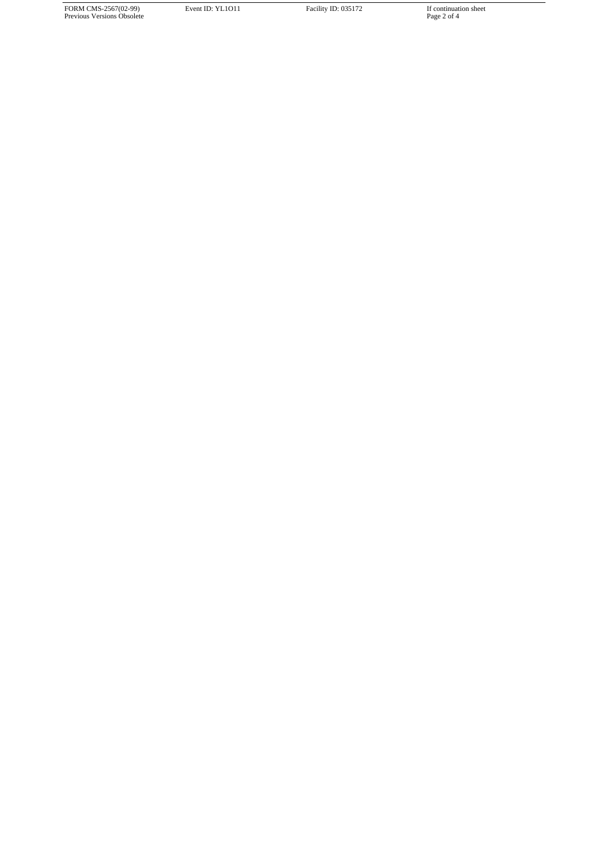FORM CMS-2567(02-99) Previous Versions Obsolete

Event ID: YL1O11 Facility ID: 035172 If continuation sheet<br>Page 2 of 4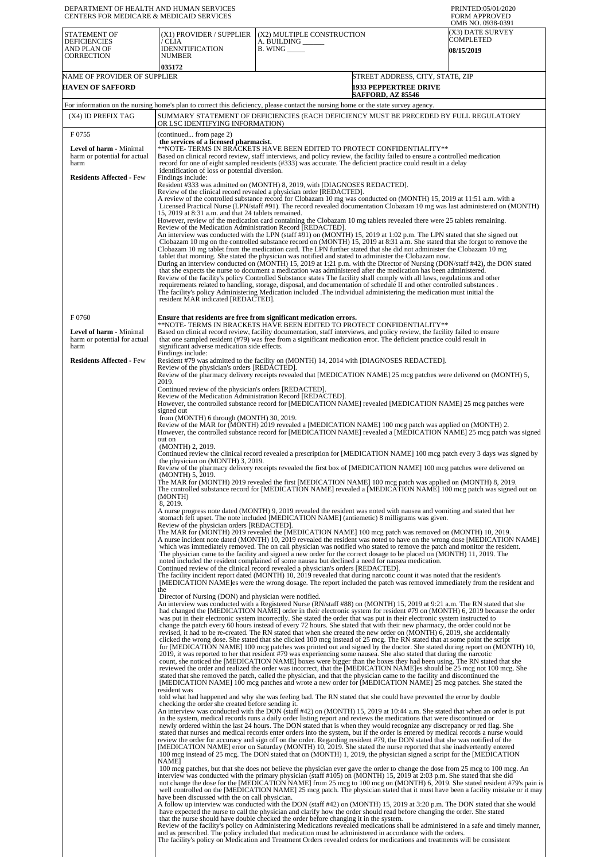| DEPARTMENT OF HEALTH AND HUMAN SERVICES<br><b>CENTERS FOR MEDICARE &amp; MEDICAID SERVICES</b>               |                                                                                                                                                                                                                                                                                                                                                                                                                                                                                                                                                                                                                                                                                                                                                                                                                                                                                                                                                                                                                                                                                                                                                                                                                                                                                                                                                                                                                                                                                                                                                                                                                                                                                                                                                                                                                                                                                                                                                                                                                                                                                                                                                                                                                                                                                                       |                                                                                                                                                                                                                                                                                                                                                                                                                                                                                                                                                                                                                                                                                                                                                                                                                                                                                                                                                                                                                                                                                                                                                                                                                                                                                                                                                                                                                                                                                                                                                                                                                                                                                                                                                                                                                                                                                                                                                                                                                                                                                                                                                                                                                                                                                                                                                                                                                                                                                                                                                                                                                                                                                                                                                                                                                                                                                                                                                                                                                                                                                                                                                                                                                                                                                                                                                                                                                                                                                                                                                                                                                                                                                                                                                                                                                                                                                                                                                                                                                                                                                                                                                                                                                                                                                                                                                                                                                                                                                                                                                                                                                                                                                                                                                                                                                                                                                                                                                                                                                                                                                                                                                                                                                                                                                                                                                                                                                                                                                                                                                                                                                                                                                                                                                        |  | PRINTED:05/01/2020<br><b>FORM APPROVED</b><br>OMB NO. 0938-0391 |  |
|--------------------------------------------------------------------------------------------------------------|-------------------------------------------------------------------------------------------------------------------------------------------------------------------------------------------------------------------------------------------------------------------------------------------------------------------------------------------------------------------------------------------------------------------------------------------------------------------------------------------------------------------------------------------------------------------------------------------------------------------------------------------------------------------------------------------------------------------------------------------------------------------------------------------------------------------------------------------------------------------------------------------------------------------------------------------------------------------------------------------------------------------------------------------------------------------------------------------------------------------------------------------------------------------------------------------------------------------------------------------------------------------------------------------------------------------------------------------------------------------------------------------------------------------------------------------------------------------------------------------------------------------------------------------------------------------------------------------------------------------------------------------------------------------------------------------------------------------------------------------------------------------------------------------------------------------------------------------------------------------------------------------------------------------------------------------------------------------------------------------------------------------------------------------------------------------------------------------------------------------------------------------------------------------------------------------------------------------------------------------------------------------------------------------------------|--------------------------------------------------------------------------------------------------------------------------------------------------------------------------------------------------------------------------------------------------------------------------------------------------------------------------------------------------------------------------------------------------------------------------------------------------------------------------------------------------------------------------------------------------------------------------------------------------------------------------------------------------------------------------------------------------------------------------------------------------------------------------------------------------------------------------------------------------------------------------------------------------------------------------------------------------------------------------------------------------------------------------------------------------------------------------------------------------------------------------------------------------------------------------------------------------------------------------------------------------------------------------------------------------------------------------------------------------------------------------------------------------------------------------------------------------------------------------------------------------------------------------------------------------------------------------------------------------------------------------------------------------------------------------------------------------------------------------------------------------------------------------------------------------------------------------------------------------------------------------------------------------------------------------------------------------------------------------------------------------------------------------------------------------------------------------------------------------------------------------------------------------------------------------------------------------------------------------------------------------------------------------------------------------------------------------------------------------------------------------------------------------------------------------------------------------------------------------------------------------------------------------------------------------------------------------------------------------------------------------------------------------------------------------------------------------------------------------------------------------------------------------------------------------------------------------------------------------------------------------------------------------------------------------------------------------------------------------------------------------------------------------------------------------------------------------------------------------------------------------------------------------------------------------------------------------------------------------------------------------------------------------------------------------------------------------------------------------------------------------------------------------------------------------------------------------------------------------------------------------------------------------------------------------------------------------------------------------------------------------------------------------------------------------------------------------------------------------------------------------------------------------------------------------------------------------------------------------------------------------------------------------------------------------------------------------------------------------------------------------------------------------------------------------------------------------------------------------------------------------------------------------------------------------------------------------------------------------------------------------------------------------------------------------------------------------------------------------------------------------------------------------------------------------------------------------------------------------------------------------------------------------------------------------------------------------------------------------------------------------------------------------------------------------------------------------------------------------------------------------------------------------------------------------------------------------------------------------------------------------------------------------------------------------------------------------------------------------------------------------------------------------------------------------------------------------------------------------------------------------------------------------------------------------------------------------------------------------------------------------------------------------------------------------------------------------------------------------------------------------------------------------------------------------------------------------------------------------------------------------------------------------------------------------------------------------------------------------------------------------------------------------------------------------------------------------------------------------------------------------------|--|-----------------------------------------------------------------|--|
| STATEMENT OF<br><b>DEFICIENCIES</b><br>AND PLAN OF<br><b>CORRECTION</b>                                      | (X1) PROVIDER / SUPPLIER<br>/ CLIA<br><b>IDENNTIFICATION</b><br><b>NUMBER</b><br>035172                                                                                                                                                                                                                                                                                                                                                                                                                                                                                                                                                                                                                                                                                                                                                                                                                                                                                                                                                                                                                                                                                                                                                                                                                                                                                                                                                                                                                                                                                                                                                                                                                                                                                                                                                                                                                                                                                                                                                                                                                                                                                                                                                                                                               | (X2) MULTIPLE CONSTRUCTION<br>A. BUILDING _____<br>$B.$ WING $\_\_\_\_\_\_\_\$                                                                                                                                                                                                                                                                                                                                                                                                                                                                                                                                                                                                                                                                                                                                                                                                                                                                                                                                                                                                                                                                                                                                                                                                                                                                                                                                                                                                                                                                                                                                                                                                                                                                                                                                                                                                                                                                                                                                                                                                                                                                                                                                                                                                                                                                                                                                                                                                                                                                                                                                                                                                                                                                                                                                                                                                                                                                                                                                                                                                                                                                                                                                                                                                                                                                                                                                                                                                                                                                                                                                                                                                                                                                                                                                                                                                                                                                                                                                                                                                                                                                                                                                                                                                                                                                                                                                                                                                                                                                                                                                                                                                                                                                                                                                                                                                                                                                                                                                                                                                                                                                                                                                                                                                                                                                                                                                                                                                                                                                                                                                                                                                                                                                         |  | (X3) DATE SURVEY<br>COMPLETED<br>08/15/2019                     |  |
| <b>HAVEN OF SAFFORD</b>                                                                                      | NAME OF PROVIDER OF SUPPLIER<br>STREET ADDRESS, CITY, STATE, ZIP<br><b>1933 PEPPERTREE DRIVE</b><br><b>SAFFORD, AZ 85546</b>                                                                                                                                                                                                                                                                                                                                                                                                                                                                                                                                                                                                                                                                                                                                                                                                                                                                                                                                                                                                                                                                                                                                                                                                                                                                                                                                                                                                                                                                                                                                                                                                                                                                                                                                                                                                                                                                                                                                                                                                                                                                                                                                                                          |                                                                                                                                                                                                                                                                                                                                                                                                                                                                                                                                                                                                                                                                                                                                                                                                                                                                                                                                                                                                                                                                                                                                                                                                                                                                                                                                                                                                                                                                                                                                                                                                                                                                                                                                                                                                                                                                                                                                                                                                                                                                                                                                                                                                                                                                                                                                                                                                                                                                                                                                                                                                                                                                                                                                                                                                                                                                                                                                                                                                                                                                                                                                                                                                                                                                                                                                                                                                                                                                                                                                                                                                                                                                                                                                                                                                                                                                                                                                                                                                                                                                                                                                                                                                                                                                                                                                                                                                                                                                                                                                                                                                                                                                                                                                                                                                                                                                                                                                                                                                                                                                                                                                                                                                                                                                                                                                                                                                                                                                                                                                                                                                                                                                                                                                                        |  |                                                                 |  |
| (X4) ID PREFIX TAG                                                                                           |                                                                                                                                                                                                                                                                                                                                                                                                                                                                                                                                                                                                                                                                                                                                                                                                                                                                                                                                                                                                                                                                                                                                                                                                                                                                                                                                                                                                                                                                                                                                                                                                                                                                                                                                                                                                                                                                                                                                                                                                                                                                                                                                                                                                                                                                                                       | For information on the nursing home's plan to correct this deficiency, please contact the nursing home or the state survey agency.<br>SUMMARY STATEMENT OF DEFICIENCIES (EACH DEFICIENCY MUST BE PRECEDED BY FULL REGULATORY                                                                                                                                                                                                                                                                                                                                                                                                                                                                                                                                                                                                                                                                                                                                                                                                                                                                                                                                                                                                                                                                                                                                                                                                                                                                                                                                                                                                                                                                                                                                                                                                                                                                                                                                                                                                                                                                                                                                                                                                                                                                                                                                                                                                                                                                                                                                                                                                                                                                                                                                                                                                                                                                                                                                                                                                                                                                                                                                                                                                                                                                                                                                                                                                                                                                                                                                                                                                                                                                                                                                                                                                                                                                                                                                                                                                                                                                                                                                                                                                                                                                                                                                                                                                                                                                                                                                                                                                                                                                                                                                                                                                                                                                                                                                                                                                                                                                                                                                                                                                                                                                                                                                                                                                                                                                                                                                                                                                                                                                                                                           |  |                                                                 |  |
|                                                                                                              | OR LSC IDENTIFYING INFORMATION)                                                                                                                                                                                                                                                                                                                                                                                                                                                                                                                                                                                                                                                                                                                                                                                                                                                                                                                                                                                                                                                                                                                                                                                                                                                                                                                                                                                                                                                                                                                                                                                                                                                                                                                                                                                                                                                                                                                                                                                                                                                                                                                                                                                                                                                                       |                                                                                                                                                                                                                                                                                                                                                                                                                                                                                                                                                                                                                                                                                                                                                                                                                                                                                                                                                                                                                                                                                                                                                                                                                                                                                                                                                                                                                                                                                                                                                                                                                                                                                                                                                                                                                                                                                                                                                                                                                                                                                                                                                                                                                                                                                                                                                                                                                                                                                                                                                                                                                                                                                                                                                                                                                                                                                                                                                                                                                                                                                                                                                                                                                                                                                                                                                                                                                                                                                                                                                                                                                                                                                                                                                                                                                                                                                                                                                                                                                                                                                                                                                                                                                                                                                                                                                                                                                                                                                                                                                                                                                                                                                                                                                                                                                                                                                                                                                                                                                                                                                                                                                                                                                                                                                                                                                                                                                                                                                                                                                                                                                                                                                                                                                        |  |                                                                 |  |
| F0755<br>Level of harm - Minimal<br>harm or potential for actual<br>harm<br><b>Residents Affected - Few</b>  | (continued from page 2)<br>the services of a licensed pharmacist.<br>**NOTE- TERMS IN BRACKETS HAVE BEEN EDITED TO PROTECT CONFIDENTIALITY**<br>Based on clinical record review, staff interviews, and policy review, the facility failed to ensure a controlled medication<br>record for one of eight sampled residents (#333) was accurate. The deficient practice could result in a delay<br>identification of loss or potential diversion.<br>Findings include:<br>Resident #333 was admitted on (MONTH) 8, 2019, with [DIAGNOSES REDACTED].<br>Review of the clinical record revealed a physician order [REDACTED].<br>A review of the controlled substance record for Clobazam 10 mg was conducted on (MONTH) 15, 2019 at 11:51 a.m. with a<br>Licensed Practical Nurse (LPN/staff #91). The record revealed documentation Clobazam 10 mg was last administered on (MONTH)<br>15, 2019 at 8:31 a.m. and that 24 tablets remained.<br>However, review of the medication card containing the Clobazam 10 mg tablets revealed there were 25 tablets remaining.<br>Review of the Medication Administration Record [REDACTED].<br>An interview was conducted with the LPN (staff #91) on (MONTH) 15, 2019 at 1:02 p.m. The LPN stated that she signed out<br>Clobazam 10 mg on the controlled substance record on (MONTH) 15, 2019 at 8:31 a.m. She stated that she forgot to remove the<br>Clobazam 10 mg tablet from the medication card. The LPN further stated that she did not administer the Clobazam 10 mg<br>tablet that morning. She stated the physician was notified and stated to administer the Clobazam now.<br>During an interview conducted on (MONTH) 15, 2019 at 1:21 p.m. with the Director of Nursing (DON/staff #42), the DON stated<br>that she expects the nurse to document a medication was administered after the medication has been administered.<br>Review of the facility's policy Controlled Substance states The facility shall comply with all laws, regulations and other<br>requirements related to handling, storage, disposal, and documentation of schedule II and other controlled substances.<br>The facility's policy Administering Medication included .The individual administering the medication must initial the<br>resident MAR indicated [REDACTED]. |                                                                                                                                                                                                                                                                                                                                                                                                                                                                                                                                                                                                                                                                                                                                                                                                                                                                                                                                                                                                                                                                                                                                                                                                                                                                                                                                                                                                                                                                                                                                                                                                                                                                                                                                                                                                                                                                                                                                                                                                                                                                                                                                                                                                                                                                                                                                                                                                                                                                                                                                                                                                                                                                                                                                                                                                                                                                                                                                                                                                                                                                                                                                                                                                                                                                                                                                                                                                                                                                                                                                                                                                                                                                                                                                                                                                                                                                                                                                                                                                                                                                                                                                                                                                                                                                                                                                                                                                                                                                                                                                                                                                                                                                                                                                                                                                                                                                                                                                                                                                                                                                                                                                                                                                                                                                                                                                                                                                                                                                                                                                                                                                                                                                                                                                                        |  |                                                                 |  |
| F 0760<br>Level of harm - Minimal<br>harm or potential for actual<br>harm<br><b>Residents Affected - Few</b> | significant adverse medication side effects.<br>Findings include:<br>Review of the physician's orders [REDACTED].<br>2019.<br>Continued review of the physician's orders [REDACTED].<br>Review of the Medication Administration Record [REDACTED].<br>signed out<br>from (MONTH) 6 through (MONTH) 30, 2019.<br>out on<br>(MONTH) 2, 2019.<br>the physician on (MONTH) 3, 2019.<br>(MONTH) 5, 2019.<br>(MONTH)<br>8, 2019.<br>Review of the physician orders [REDACTED].<br>the<br>Director of Nursing (DON) and physician were notified.<br>resident was<br>checking the order she created before sending it.<br>NAME]<br>have been discussed with the on call physician.                                                                                                                                                                                                                                                                                                                                                                                                                                                                                                                                                                                                                                                                                                                                                                                                                                                                                                                                                                                                                                                                                                                                                                                                                                                                                                                                                                                                                                                                                                                                                                                                                            | Ensure that residents are free from significant medication errors.<br>**NOTE- TERMS IN BRACKETS HAVE BEEN EDITED TO PROTECT CONFIDENTIALITY**<br>Based on clinical record review, facility documentation, staff interviews, and policy review, the facility failed to ensure<br>that one sampled resident (#79) was free from a significant medication error. The deficient practice could result in<br>Resident #79 was admitted to the facility on (MONTH) 14, 2014 with [DIAGNOSES REDACTED].<br>Review of the pharmacy delivery receipts revealed that [MEDICATION NAME] 25 mcg patches were delivered on (MONTH) 5,<br>However, the controlled substance record for [MEDICATION NAME] revealed [MEDICATION NAME] 25 mcg patches were<br>Review of the MAR for (MONTH) 2019 revealed a [MEDICATION NAME] 100 mcg patch was applied on (MONTH) 2.<br>However, the controlled substance record for [MEDICATION NAME] revealed a [MEDICATION NAME] 25 mcg patch was signed<br>Continued review the clinical record revealed a prescription for [MEDICATION NAME] 100 mcg patch every 3 days was signed by<br>Review of the pharmacy delivery receipts revealed the first box of [MEDICATION NAME] 100 mcg patches were delivered on<br>The MAR for (MONTH) 2019 revealed the first [MEDICATION NAME] 100 mcg patch was applied on (MONTH) 8, 2019.<br>The controlled substance record for [MEDICATION NAME] revealed a [MEDICATION NAME] 100 mcg patch was signed out on<br>A nurse progress note dated (MONTH) 9, 2019 revealed the resident was noted with nausea and vomiting and stated that her<br>stomach felt upset. The note included [MEDICATION NAME] (antiemetic) 8 milligrams was given.<br>The MAR for (MONTH) 2019 revealed the [MEDICATION NAME] 100 mcg patch was removed on (MONTH) 10, 2019.<br>A nurse incident note dated (MONTH) 10, 2019 revealed the resident was noted to have on the wrong dose [MEDICATION NAME]<br>which was immediately removed. The on call physician was notified who stated to remove the patch and monitor the resident.<br>The physician came to the facility and signed a new order for the correct dosage to be placed on (MONTH) 11, 2019. The<br>noted included the resident complained of some nausea but declined a need for nausea medication.<br>Continued review of the clinical record revealed a physician's orders [REDACTED].<br>The facility incident report dated (MONTH) 10, 2019 revealed that during narcotic count it was noted that the resident's<br>[MEDICATION NAME] es were the wrong dosage. The report included the patch was removed immediately from the resident and<br>An interview was conducted with a Registered Nurse (RN/staff #88) on (MONTH) 15, 2019 at 9:21 a.m. The RN stated that she<br>had changed the [MEDICATION NAME] order in their electronic system for resident #79 on (MONTH) 6, 2019 because the order<br>was put in their electronic system incorrectly. She stated the order that was put in their electronic system instructed to<br>change the patch every 60 hours instead of every 72 hours. She stated that with their new pharmacy, the order could not be<br>revised, it had to be re-created. The RN stated that when she created the new order on (MONTH) 6, 2019, she accidentally<br>clicked the wrong dose. She stated that she clicked 100 mcg instead of 25 mcg. The RN stated that at some point the script<br>for [MEDICATION NAME] 100 mcg patches was printed out and signed by the doctor. She stated during report on (MONTH) 10,<br>2019, it was reported to her that resident #79 was experiencing some nausea. She also stated that during the narcotic<br>count, she noticed the [MEDICATION NAME] boxes were bigger than the boxes they had been using. The RN stated that she<br>reviewed the order and realized the order was incorrect, that the [MEDICATION NAME] es should be 25 mcg not 100 mcg. She<br>stated that she removed the patch, called the physician, and that the physician came to the facility and discontinued the<br>[MEDICATION NAME] 100 mcg patches and wrote a new order for [MEDICATION NAME] 25 mcg patches. She stated the<br>told what had happened and why she was feeling bad. The RN stated that she could have prevented the error by double<br>An interview was conducted with the DON (staff #42) on (MONTH) 15, 2019 at 10:44 a.m. She stated that when an order is put<br>in the system, medical records runs a daily order listing report and reviews the medications that were discontinued or<br>newly ordered within the last 24 hours. The DON stated that is when they would recognize any discrepancy or red flag. She<br>stated that nurses and medical records enter orders into the system, but if the order is entered by medical records a nurse would<br>review the order for accuracy and sign off on the order. Regarding resident #79, the DON stated that she was notified of the<br>[MEDICATION NAME] error on Saturday (MONTH) 10, 2019. She stated the nurse reported that she inadvertently entered<br>100 mcg instead of 25 mcg. The DON stated that on (MONTH) 1, 2019, the physician signed a script for the [MEDICATION<br>100 mcg patches, but that she does not believe the physician ever gave the order to change the dose from 25 mcg to 100 mcg. An<br>interview was conducted with the primary physician (staff #105) on (MONTH) 15, 2019 at 2:03 p.m. She stated that she did<br>not change the dose for the [MEDICATION NAME] from 25 mcg to 100 mcg on (MONTH) 6, 2019. She stated resident #79's pain is<br>well controlled on the [MEDICATION NAME] 25 mcg patch. The physician stated that it must have been a facility mistake or it may |  |                                                                 |  |
|                                                                                                              |                                                                                                                                                                                                                                                                                                                                                                                                                                                                                                                                                                                                                                                                                                                                                                                                                                                                                                                                                                                                                                                                                                                                                                                                                                                                                                                                                                                                                                                                                                                                                                                                                                                                                                                                                                                                                                                                                                                                                                                                                                                                                                                                                                                                                                                                                                       | A follow up interview was conducted with the DON (staff #42) on (MONTH) 15, 2019 at 3:20 p.m. The DON stated that she would<br>have expected the nurse to call the physician and clarify how the order should read before changing the order. She stated<br>that the nurse should have double checked the order before changing it in the system.<br>Review of the facility's policy on Administering Medications revealed medications shall be administered in a safe and timely manner,<br>and as prescribed. The policy included that medication must be administered in accordance with the orders.<br>The facility's policy on Medication and Treatment Orders revealed orders for medications and treatments will be consistent                                                                                                                                                                                                                                                                                                                                                                                                                                                                                                                                                                                                                                                                                                                                                                                                                                                                                                                                                                                                                                                                                                                                                                                                                                                                                                                                                                                                                                                                                                                                                                                                                                                                                                                                                                                                                                                                                                                                                                                                                                                                                                                                                                                                                                                                                                                                                                                                                                                                                                                                                                                                                                                                                                                                                                                                                                                                                                                                                                                                                                                                                                                                                                                                                                                                                                                                                                                                                                                                                                                                                                                                                                                                                                                                                                                                                                                                                                                                                                                                                                                                                                                                                                                                                                                                                                                                                                                                                                                                                                                                                                                                                                                                                                                                                                                                                                                                                                                                                                                                                  |  |                                                                 |  |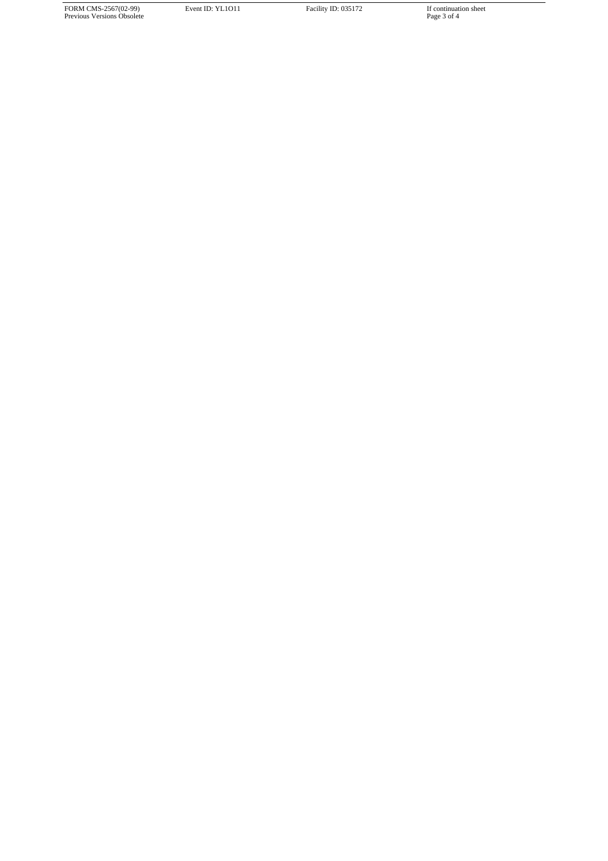FORM CMS-2567(02-99) Previous Versions Obsolete

Event ID: YL1O11 Facility ID: 035172 If continuation sheet<br>Page 3 of 4